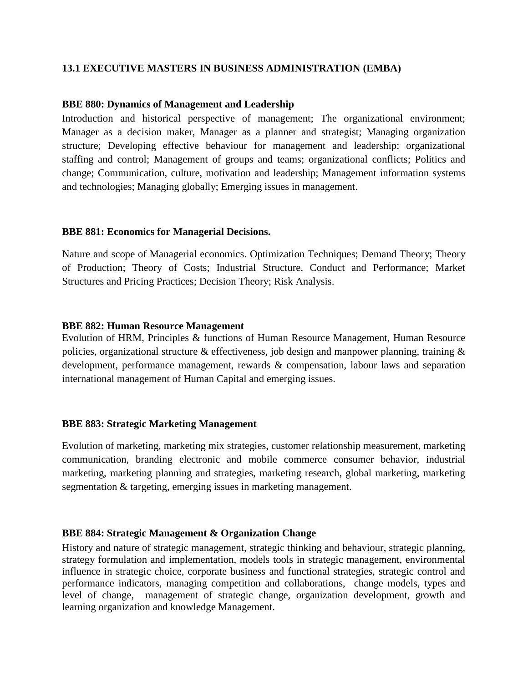# **13.1 EXECUTIVE MASTERS IN BUSINESS ADMINISTRATION (EMBA)**

# **BBE 880: Dynamics of Management and Leadership**

Introduction and historical perspective of management; The organizational environment; Manager as a decision maker, Manager as a planner and strategist; Managing organization structure; Developing effective behaviour for management and leadership; organizational staffing and control; Management of groups and teams; organizational conflicts; Politics and change; Communication, culture, motivation and leadership; Management information systems and technologies; Managing globally; Emerging issues in management.

## **BBE 881: Economics for Managerial Decisions.**

Nature and scope of Managerial economics. Optimization Techniques; Demand Theory; Theory of Production; Theory of Costs; Industrial Structure, Conduct and Performance; Market Structures and Pricing Practices; Decision Theory; Risk Analysis.

## **BBE 882: Human Resource Management**

Evolution of HRM, Principles & functions of Human Resource Management, Human Resource policies, organizational structure & effectiveness, job design and manpower planning, training  $\&$ development, performance management, rewards & compensation, labour laws and separation international management of Human Capital and emerging issues.

#### **BBE 883: Strategic Marketing Management**

Evolution of marketing, marketing mix strategies, customer relationship measurement, marketing communication, branding electronic and mobile commerce consumer behavior, industrial marketing, marketing planning and strategies, marketing research, global marketing, marketing segmentation & targeting, emerging issues in marketing management.

#### **BBE 884: Strategic Management & Organization Change**

History and nature of strategic management, strategic thinking and behaviour, strategic planning, strategy formulation and implementation, models tools in strategic management, environmental influence in strategic choice, corporate business and functional strategies, strategic control and performance indicators, managing competition and collaborations, change models, types and level of change, management of strategic change, organization development, growth and learning organization and knowledge Management.